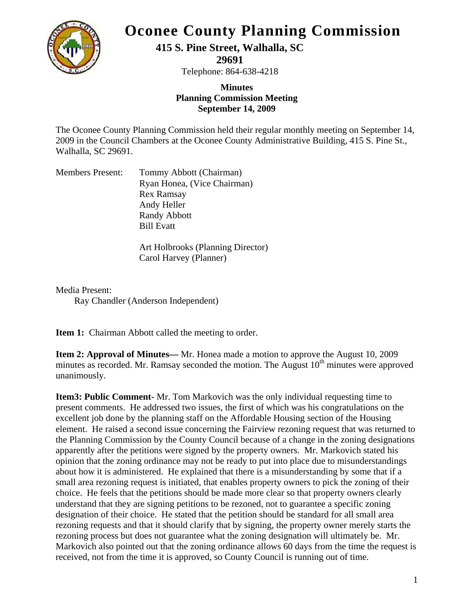

## **Oconee County Planning Commission**

**415 S. Pine Street, Walhalla, SC** 

**29691** 

Telephone: 864-638-4218

## **Minutes Planning Commission Meeting September 14, 2009**

The Oconee County Planning Commission held their regular monthly meeting on September 14, 2009 in the Council Chambers at the Oconee County Administrative Building, 415 S. Pine St., Walhalla, SC 29691.

| Tommy Abbott (Chairman)     |
|-----------------------------|
| Ryan Honea, (Vice Chairman) |
| <b>Rex Ramsay</b>           |
| Andy Heller                 |
| Randy Abbott                |
| <b>Bill Evatt</b>           |
|                             |

Art Holbrooks (Planning Director) Carol Harvey (Planner)

Media Present:

Ray Chandler (Anderson Independent)

**Item 1:** Chairman Abbott called the meeting to order.

**Item 2: Approval of Minutes—** Mr. Honea made a motion to approve the August 10, 2009 minutes as recorded. Mr. Ramsay seconded the motion. The August  $10<sup>th</sup>$  minutes were approved unanimously.

**Item3: Public Comment-** Mr. Tom Markovich was the only individual requesting time to present comments. He addressed two issues, the first of which was his congratulations on the excellent job done by the planning staff on the Affordable Housing section of the Housing element. He raised a second issue concerning the Fairview rezoning request that was returned to the Planning Commission by the County Council because of a change in the zoning designations apparently after the petitions were signed by the property owners. Mr. Markovich stated his opinion that the zoning ordinance may not be ready to put into place due to misunderstandings about how it is administered. He explained that there is a misunderstanding by some that if a small area rezoning request is initiated, that enables property owners to pick the zoning of their choice. He feels that the petitions should be made more clear so that property owners clearly understand that they are signing petitions to be rezoned, not to guarantee a specific zoning designation of their choice. He stated that the petition should be standard for all small area rezoning requests and that it should clarify that by signing, the property owner merely starts the rezoning process but does not guarantee what the zoning designation will ultimately be. Mr. Markovich also pointed out that the zoning ordinance allows 60 days from the time the request is received, not from the time it is approved, so County Council is running out of time.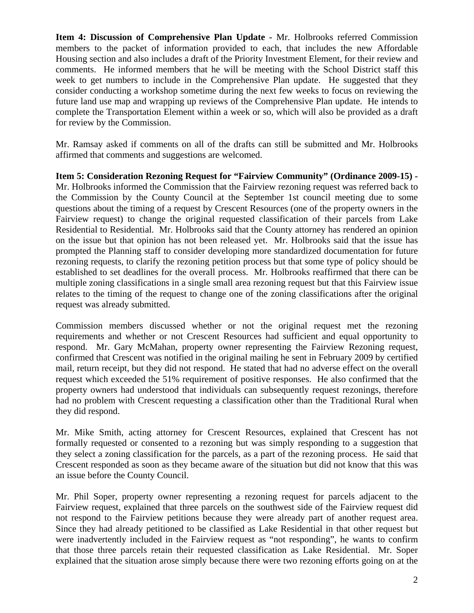**Item 4: Discussion of Comprehensive Plan Update -** Mr. Holbrooks referred Commission members to the packet of information provided to each, that includes the new Affordable Housing section and also includes a draft of the Priority Investment Element, for their review and comments. He informed members that he will be meeting with the School District staff this week to get numbers to include in the Comprehensive Plan update. He suggested that they consider conducting a workshop sometime during the next few weeks to focus on reviewing the future land use map and wrapping up reviews of the Comprehensive Plan update. He intends to complete the Transportation Element within a week or so, which will also be provided as a draft for review by the Commission.

Mr. Ramsay asked if comments on all of the drafts can still be submitted and Mr. Holbrooks affirmed that comments and suggestions are welcomed.

**Item 5: Consideration Rezoning Request for "Fairview Community" (Ordinance 2009-15) -** Mr. Holbrooks informed the Commission that the Fairview rezoning request was referred back to the Commission by the County Council at the September 1st council meeting due to some questions about the timing of a request by Crescent Resources (one of the property owners in the Fairview request) to change the original requested classification of their parcels from Lake Residential to Residential. Mr. Holbrooks said that the County attorney has rendered an opinion on the issue but that opinion has not been released yet. Mr. Holbrooks said that the issue has prompted the Planning staff to consider developing more standardized documentation for future rezoning requests, to clarify the rezoning petition process but that some type of policy should be established to set deadlines for the overall process. Mr. Holbrooks reaffirmed that there can be multiple zoning classifications in a single small area rezoning request but that this Fairview issue relates to the timing of the request to change one of the zoning classifications after the original request was already submitted.

Commission members discussed whether or not the original request met the rezoning requirements and whether or not Crescent Resources had sufficient and equal opportunity to respond. Mr. Gary McMahan, property owner representing the Fairview Rezoning request, confirmed that Crescent was notified in the original mailing he sent in February 2009 by certified mail, return receipt, but they did not respond. He stated that had no adverse effect on the overall request which exceeded the 51% requirement of positive responses. He also confirmed that the property owners had understood that individuals can subsequently request rezonings, therefore had no problem with Crescent requesting a classification other than the Traditional Rural when they did respond.

Mr. Mike Smith, acting attorney for Crescent Resources, explained that Crescent has not formally requested or consented to a rezoning but was simply responding to a suggestion that they select a zoning classification for the parcels, as a part of the rezoning process. He said that Crescent responded as soon as they became aware of the situation but did not know that this was an issue before the County Council.

Mr. Phil Soper, property owner representing a rezoning request for parcels adjacent to the Fairview request, explained that three parcels on the southwest side of the Fairview request did not respond to the Fairview petitions because they were already part of another request area. Since they had already petitioned to be classified as Lake Residential in that other request but were inadvertently included in the Fairview request as "not responding", he wants to confirm that those three parcels retain their requested classification as Lake Residential. Mr. Soper explained that the situation arose simply because there were two rezoning efforts going on at the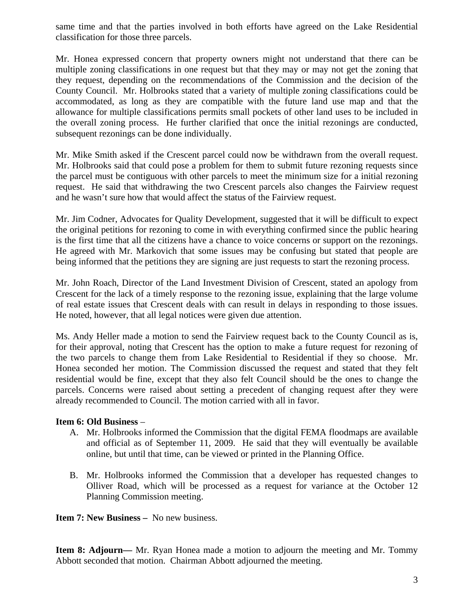same time and that the parties involved in both efforts have agreed on the Lake Residential classification for those three parcels.

Mr. Honea expressed concern that property owners might not understand that there can be multiple zoning classifications in one request but that they may or may not get the zoning that they request, depending on the recommendations of the Commission and the decision of the County Council. Mr. Holbrooks stated that a variety of multiple zoning classifications could be accommodated, as long as they are compatible with the future land use map and that the allowance for multiple classifications permits small pockets of other land uses to be included in the overall zoning process. He further clarified that once the initial rezonings are conducted, subsequent rezonings can be done individually.

Mr. Mike Smith asked if the Crescent parcel could now be withdrawn from the overall request. Mr. Holbrooks said that could pose a problem for them to submit future rezoning requests since the parcel must be contiguous with other parcels to meet the minimum size for a initial rezoning request. He said that withdrawing the two Crescent parcels also changes the Fairview request and he wasn't sure how that would affect the status of the Fairview request.

Mr. Jim Codner, Advocates for Quality Development, suggested that it will be difficult to expect the original petitions for rezoning to come in with everything confirmed since the public hearing is the first time that all the citizens have a chance to voice concerns or support on the rezonings. He agreed with Mr. Markovich that some issues may be confusing but stated that people are being informed that the petitions they are signing are just requests to start the rezoning process.

Mr. John Roach, Director of the Land Investment Division of Crescent, stated an apology from Crescent for the lack of a timely response to the rezoning issue, explaining that the large volume of real estate issues that Crescent deals with can result in delays in responding to those issues. He noted, however, that all legal notices were given due attention.

Ms. Andy Heller made a motion to send the Fairview request back to the County Council as is, for their approval, noting that Crescent has the option to make a future request for rezoning of the two parcels to change them from Lake Residential to Residential if they so choose. Mr. Honea seconded her motion. The Commission discussed the request and stated that they felt residential would be fine, except that they also felt Council should be the ones to change the parcels. Concerns were raised about setting a precedent of changing request after they were already recommended to Council. The motion carried with all in favor.

## **Item 6: Old Business** –

- A. Mr. Holbrooks informed the Commission that the digital FEMA floodmaps are available and official as of September 11, 2009. He said that they will eventually be available online, but until that time, can be viewed or printed in the Planning Office.
- B. Mr. Holbrooks informed the Commission that a developer has requested changes to Olliver Road, which will be processed as a request for variance at the October 12 Planning Commission meeting.

**Item 7: New Business –** No new business.

**Item 8: Adjourn—** Mr. Ryan Honea made a motion to adjourn the meeting and Mr. Tommy Abbott seconded that motion. Chairman Abbott adjourned the meeting.